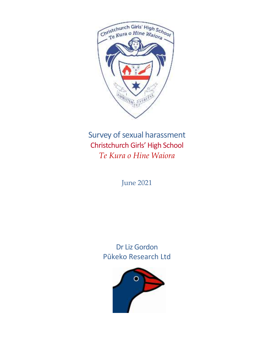

Survey of sexual harassment Christchurch Girls' High School *Te Kura o Hine Waiora* 

June 2021

Dr Liz Gordon Pūkeko Research Ltd

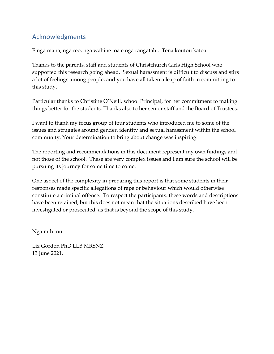# Acknowledgments

E ngā mana, ngā reo, ngā wāhine toa e ngā rangatahi. Tēnā koutou katoa.

Thanks to the parents, staff and students of Christchurch Girls High School who supported this research going ahead. Sexual harassment is difficult to discuss and stirs a lot of feelings among people, and you have all taken a leap of faith in committing to this study.

Particular thanks to Christine O'Neill, school Principal, for her commitment to making things better for the students. Thanks also to her senior staff and the Board of Trustees.

I want to thank my focus group of four students who introduced me to some of the issues and struggles around gender, identity and sexual harassment within the school community. Your determination to bring about change was inspiring.

The reporting and recommendations in this document represent my own findings and not those of the school. These are very complex issues and I am sure the school will be pursuing its journey for some time to come.

One aspect of the complexity in preparing this report is that some students in their responses made specific allegations of rape or behaviour which would otherwise constitute a criminal offence. To respect the participants. these words and descriptions have been retained, but this does not mean that the situations described have been investigated or prosecuted, as that is beyond the scope of this study.

Ngā mihi nui

Liz Gordon PhD LLB MRSNZ 13 June 2021.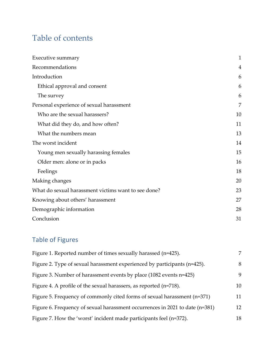# Table of contents

| Executive summary                                   | $\mathbf{1}$ |
|-----------------------------------------------------|--------------|
| Recommendations                                     | 4            |
| Introduction                                        | 6            |
| Ethical approval and consent                        | 6            |
| The survey                                          | 6            |
| Personal experience of sexual harassment            | 7            |
| Who are the sexual harassers?                       | 10           |
| What did they do, and how often?                    | 11           |
| What the numbers mean                               | 13           |
| The worst incident                                  | 14           |
| Young men sexually harassing females                | 15           |
| Older men: alone or in packs                        | 16           |
| Feelings                                            | 18           |
| Making changes                                      | 20           |
| What do sexual harassment victims want to see done? | 23           |
| Knowing about others' harassment                    | 27           |
| Demographic information                             |              |
| Conclusion                                          | 31           |

# Table of Figures

| Figure 1. Reported number of times sexually harassed (n=425).                | 7  |
|------------------------------------------------------------------------------|----|
| Figure 2. Type of sexual harassment experienced by participants (n=425).     | 8  |
| Figure 3. Number of harassment events by place (1082 events n=425)           | 9  |
| Figure 4. A profile of the sexual harassers, as reported (n=718).            | 10 |
| Figure 5. Frequency of commonly cited forms of sexual harassment (n=371)     | 11 |
| Figure 6. Frequency of sexual harassment occurrences in 2021 to date (n=381) | 12 |
| Figure 7. How the 'worst' incident made participants feel (n=372).           | 18 |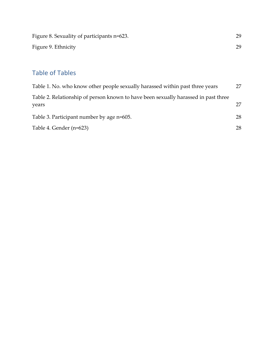| Figure 8. Sexuality of participants n=623. | 29. |
|--------------------------------------------|-----|
| Figure 9. Ethnicity                        | 29. |

# Table of Tables

| Table 1. No. who know other people sexually harassed within past three years                | 27 |
|---------------------------------------------------------------------------------------------|----|
| Table 2. Relationship of person known to have been sexually harassed in past three<br>years | 27 |
| Table 3. Participant number by age n=605.                                                   | 28 |
| Table 4. Gender (n=623)                                                                     | 28 |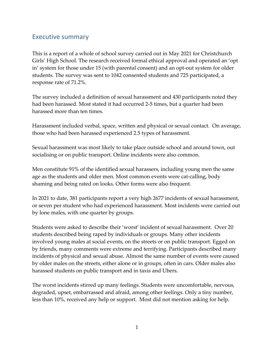### Executive summary

This is a report of a whole of school survey carried out in May 2021 for Christchurch Girls' High School. The research received formal ethical approval and operated an 'opt in' system for those under 15 (with parental consent) and an opt-out system for older students. The survey was sent to 1042 consented students and 725 participated, a response rate of 71.2%.

The survey included a definition of sexual harassment and 430 participants noted they had been harassed. Most stated it had occurred 2-5 times, but a quarter had been harassed more than ten times.

Harassment included verbal, space, written and physical or sexual contact. On average, those who had been harassed experienced 2.5 types of harassment.

Sexual harassment was most likely to take place outside school and around town, out socialising or on public transport. Online incidents were also common.

Men constitute 91% of the identified sexual harassers, including young men the same age as the students and older men. Most common events were cat-calling, body shaming and being rated on looks. Other forms were also frequent.

In 2021 to date, 381 participants report a very high 2677 incidents of sexual harassment, or seven per student who had experienced harassment. Most incidents were carried out by lone males, with one quarter by groups.

Students were asked to describe their 'worst' incident of sexual harassment. Over 20 students described being raped by individuals or groups. Many other incidents involved young males at social events, on the streets or on public transport. Egged on by friends, many comments were extreme and terrifying. Participants described many incidents of physical and sexual abuse. Almost the same number of events were caused by older males on the streets, either alone or in groups, often in cars. Older males also harassed students on public transport and in taxis and Ubers.

The worst incidents stirred up many feelings. Students were uncomfortable, nervous, degraded, upset, embarrassed and afraid, among other feelings. Only a tiny number, less than 10%, received any help or support. Most did not mention asking for help.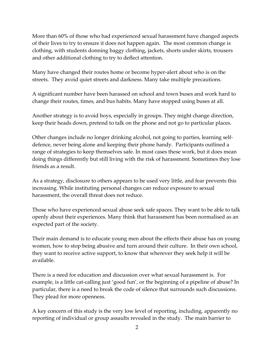More than 60% of those who had experienced sexual harassment have changed aspects of their lives to try to ensure it does not happen again. The most common change is clothing, with students donning baggy clothing, jackets, shorts under skirts, trousers and other additional clothing to try to deflect attention.

Many have changed their routes home or become hyper-alert about who is on the streets. They avoid quiet streets and darkness. Many take multiple precautions.

A significant number have been harassed on school and town buses and work hard to change their routes, times, and bus habits. Many have stopped using buses at all.

Another strategy is to avoid boys, especially in groups. They might change direction, keep their heads down, pretend to talk on the phone and not go to particular places.

Other changes include no longer drinking alcohol, not going to parties, learning selfdefence, never being alone and keeping their phone handy. Participants outlined a range of strategies to keep themselves safe. In most cases these work, but it does mean doing things differently but still living with the risk of harassment. Sometimes they lose friends as a result.

As a strategy, disclosure to others appears to be used very little, and fear prevents this increasing. While instituting personal changes can reduce exposure to sexual harassment, the overall threat does not reduce.

Those who have experienced sexual abuse seek safe spaces. They want to be able to talk openly about their experiences. Many think that harassment has been normalised as an expected part of the society.

Their main demand is to educate young men about the effects their abuse has on young women, how to stop being abusive and turn around their culture. In their own school, they want to receive active support, to know that wherever they seek help it will be available.

There is a need for education and discussion over what sexual harassment is. For example, is a little cat-calling just 'good fun', or the beginning of a pipeline of abuse? In particular, there is a need to break the code of silence that surrounds such discussions. They plead for more openness.

A key concern of this study is the very low level of reporting, including, apparently no reporting of individual or group assaults revealed in the study. The main barrier to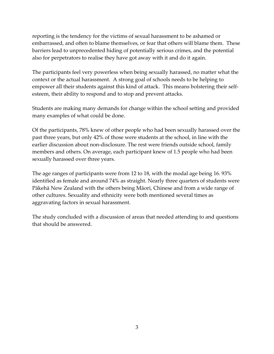reporting is the tendency for the victims of sexual harassment to be ashamed or embarrassed, and often to blame themselves, or fear that others will blame them. These barriers lead to unprecedented hiding of potentially serious crimes, and the potential also for perpetrators to realise they have got away with it and do it again.

The participants feel very powerless when being sexually harassed, no matter what the context or the actual harassment. A strong goal of schools needs to be helping to empower all their students against this kind of attack. This means bolstering their selfesteem, their ability to respond and to stop and prevent attacks.

Students are making many demands for change within the school setting and provided many examples of what could be done.

Of the participants, 78% knew of other people who had been sexually harassed over the past three years, but only 42% of those were students at the school, in line with the earlier discussion about non-disclosure. The rest were friends outside school, family members and others. On average, each participant knew of 1.5 people who had been sexually harassed over three years.

The age ranges of participants were from 12 to 18, with the modal age being 16. 93% identified as female and around 74% as straight. Nearly three quarters of students were Pākehā New Zealand with the others being Māori, Chinese and from a wide range of other cultures. Sexuality and ethnicity were both mentioned several times as aggravating factors in sexual harassment.

The study concluded with a discussion of areas that needed attending to and questions that should be answered.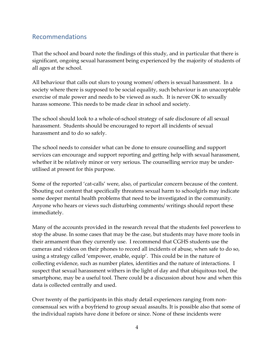### Recommendations

That the school and board note the findings of this study, and in particular that there is significant, ongoing sexual harassment being experienced by the majority of students of all ages at the school.

All behaviour that calls out slurs to young women/ others is sexual harassment. In a society where there is supposed to be social equality, such behaviour is an unacceptable exercise of male power and needs to be viewed as such. It is never OK to sexually harass someone. This needs to be made clear in school and society.

The school should look to a whole-of-school strategy of safe disclosure of all sexual harassment. Students should be encouraged to report all incidents of sexual harassment and to do so safely.

The school needs to consider what can be done to ensure counselling and support services can encourage and support reporting and getting help with sexual harassment, whether it be relatively minor or very serious. The counselling service may be underutilised at present for this purpose.

Some of the reported 'cat-calls' were, also, of particular concern because of the content. Shouting out content that specifically threatens sexual harm to schoolgirls may indicate some deeper mental health problems that need to be investigated in the community. Anyone who hears or views such disturbing comments/ writings should report these immediately.

Many of the accounts provided in the research reveal that the students feel powerless to stop the abuse. In some cases that may be the case, but students may have more tools in their armament than they currently use. I recommend that CGHS students use the cameras and videos on their phones to record all incidents of abuse, when safe to do so, using a strategy called 'empower, enable, equip'. This could be in the nature of collecting evidence, such as number plates, identities and the nature of interactions. I suspect that sexual harassment withers in the light of day and that ubiquitous tool, the smartphone, may be a useful tool. There could be a discussion about how and when this data is collected centrally and used.

Over twenty of the participants in this study detail experiences ranging from nonconsensual sex with a boyfriend to group sexual assaults. It is possible also that some of the individual rapists have done it before or since. None of these incidents were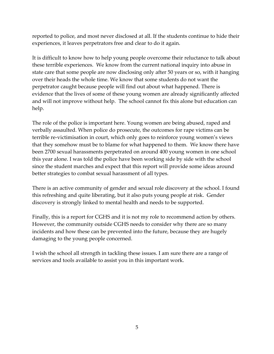reported to police, and most never disclosed at all. If the students continue to hide their experiences, it leaves perpetrators free and clear to do it again.

It is difficult to know how to help young people overcome their reluctance to talk about these terrible experiences. We know from the current national inquiry into abuse in state care that some people are now disclosing only after 50 years or so, with it hanging over their heads the whole time. We know that some students do not want the perpetrator caught because people will find out about what happened. There is evidence that the lives of some of these young women are already significantly affected and will not improve without help. The school cannot fix this alone but education can help.

The role of the police is important here. Young women are being abused, raped and verbally assaulted. When police do prosecute, the outcomes for rape victims can be terrible re-victimisation in court, which only goes to reinforce young women's views that they somehow must be to blame for what happened to them. We know there have been 2700 sexual harassments perpetrated on around 400 young women in one school this year alone. I was told the police have been working side by side with the school since the student marches and expect that this report will provide some ideas around better strategies to combat sexual harassment of all types.

There is an active community of gender and sexual role discovery at the school. I found this refreshing and quite liberating, but it also puts young people at risk. Gender discovery is strongly linked to mental health and needs to be supported.

Finally, this is a report for CGHS and it is not my role to recommend action by others. However, the community outside CGHS needs to consider why there are so many incidents and how these can be prevented into the future, because they are hugely damaging to the young people concerned.

I wish the school all strength in tackling these issues. I am sure there are a range of services and tools available to assist you in this important work.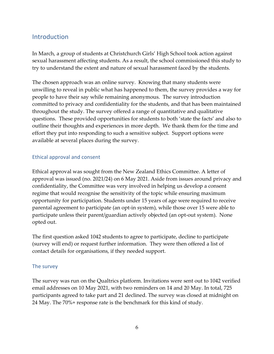### Introduction

In March, a group of students at Christchurch Girls' High School took action against sexual harassment affecting students. As a result, the school commissioned this study to try to understand the extent and nature of sexual harassment faced by the students.

The chosen approach was an online survey. Knowing that many students were unwilling to reveal in public what has happened to them, the survey provides a way for people to have their say while remaining anonymous. The survey introduction committed to privacy and confidentiality for the students, and that has been maintained throughout the study. The survey offered a range of quantitative and qualitative questions. These provided opportunities for students to both 'state the facts' and also to outline their thoughts and experiences in more depth. We thank them for the time and effort they put into responding to such a sensitive subject. Support options were available at several places during the survey.

#### Ethical approval and consent

Ethical approval was sought from the New Zealand Ethics Committee. A letter of approval was issued (no. 2021/24) on 6 May 2021. Aside from issues around privacy and confidentiality, the Committee was very involved in helping us develop a consent regime that would recognise the sensitivity of the topic while ensuring maximum opportunity for participation. Students under 15 years of age were required to receive parental agreement to participate (an opt-in system), while those over 15 were able to participate unless their parent/guardian actively objected (an opt-out system). None opted out.

The first question asked 1042 students to agree to participate, decline to participate (survey will end) or request further information. They were then offered a list of contact details for organisations, if they needed support.

#### The survey

The survey was run on the Qualtrics platform. Invitations were sent out to 1042 verified email addresses on 10 May 2021, with two reminders on 14 and 20 May. In total, 725 participants agreed to take part and 21 declined. The survey was closed at midnight on 24 May. The 70%+ response rate is the benchmark for this kind of study.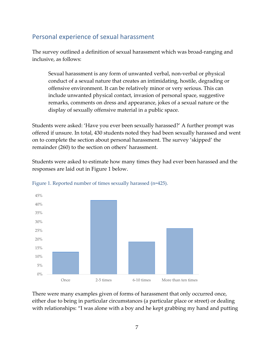## Personal experience of sexual harassment

The survey outlined a definition of sexual harassment which was broad-ranging and inclusive, as follows:

Sexual harassment is any form of unwanted verbal, non-verbal or physical conduct of a sexual nature that creates an intimidating, hostile, degrading or offensive environment. It can be relatively minor or very serious. This can include unwanted physical contact, invasion of personal space, suggestive remarks, comments on dress and appearance, jokes of a sexual nature or the display of sexually offensive material in a public space.

Students were asked: 'Have you ever been sexually harassed?' A further prompt was offered if unsure. In total, 430 students noted they had been sexually harassed and went on to complete the section about personal harassment. The survey 'skipped' the remainder (260) to the section on others' harassment.

Students were asked to estimate how many times they had ever been harassed and the responses are laid out in Figure 1 below.



Figure 1. Reported number of times sexually harassed (n=425).

There were many examples given of forms of harassment that only occurred once, either due to being in particular circumstances (a particular place or street) or dealing with relationships: "I was alone with a boy and he kept grabbing my hand and putting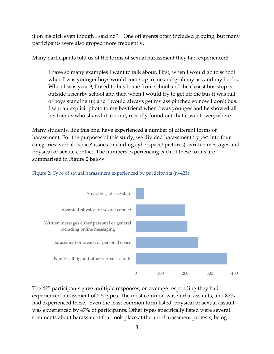it on his dick even though I said no". One off events often included groping, but many participants were also groped more frequently.

Many participants told us of the forms of sexual harassment they had experienced:

I have so many examples I want to talk about. First, when I would go to school when I was younger boys would come up to me and grab my ass and my boobs. When I was year 9, I used to bus home from school and the closest bus stop is outside a nearby school and then when I would try to get off the bus it was full of boys standing up and I would always get my ass pinched so now I don't bus. I sent an explicit photo to my boyfriend when I was younger and he showed all his friends who shared it around, recently found out that it went everywhere.

Many students, like this one, have experienced a number of different forms of harassment. For the purposes of this study, we divided harassment 'types' into four categories: verbal, 'space' issues (including cyberspace/ pictures), written messages and physical or sexual contact. The numbers experiencing each of these forms are summarised in Figure 2 below.



#### Figure 2. Type of sexual harassment experienced by participants (n=425).

The 425 participants gave multiple responses, on average responding they had experienced harassment of 2.5 types. The most common was verbal assaults, and 87% had experienced these. Even the least common form listed, physical or sexual assault, was experienced by 47% of participants. Other types specifically listed were several comments about harassment that took place at the anti-harassment protests, being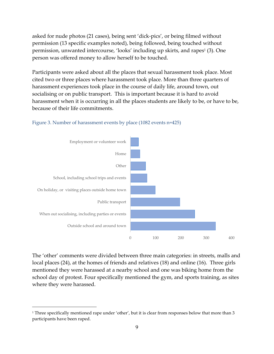asked for nude photos (21 cases), being sent 'dick-pics', or being filmed without permission (13 specific examples noted), being followed, being touched without permission, unwanted intercourse, 'looks' including up skirts, and rapes<sup>1</sup> (3). One person was offered money to allow herself to be touched.

Participants were asked about all the places that sexual harassment took place. Most cited two or three places where harassment took place. More than three quarters of harassment experiences took place in the course of daily life, around town, out socialising or on public transport. This is important because it is hard to avoid harassment when it is occurring in all the places students are likely to be, or have to be, because of their life commitments.



#### Figure 3. Number of harassment events by place (1082 events n=425)

The 'other' comments were divided between three main categories: in streets, malls and local places (24), at the homes of friends and relatives (18) and online (16). Three girls mentioned they were harassed at a nearby school and one was biking home from the school day of protest. Four specifically mentioned the gym, and sports training, as sites where they were harassed.

<sup>1</sup> Three specifically mentioned rape under 'other', but it is clear from responses below that more than 3 participants have been raped.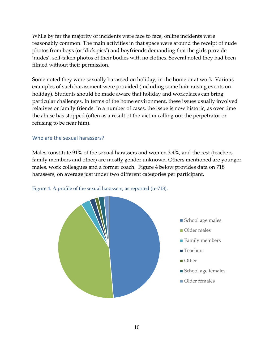While by far the majority of incidents were face to face, online incidents were reasonably common. The main activities in that space were around the receipt of nude photos from boys (or 'dick pics') and boyfriends demanding that the girls provide 'nudes', self-taken photos of their bodies with no clothes. Several noted they had been filmed without their permission.

Some noted they were sexually harassed on holiday, in the home or at work. Various examples of such harassment were provided (including some hair-raising events on holiday). Students should be made aware that holiday and workplaces can bring particular challenges. In terms of the home environment, these issues usually involved relatives or family friends. In a number of cases, the issue is now historic, as over time the abuse has stopped (often as a result of the victim calling out the perpetrator or refusing to be near him).

#### Who are the sexual harassers?

Males constitute 91% of the sexual harassers and women 3.4%, and the rest (teachers, family members and other) are mostly gender unknown. Others mentioned are younger males, work colleagues and a former coach. Figure 4 below provides data on 718 harassers, on average just under two different categories per participant.



Figure 4. A profile of the sexual harassers, as reported (n=718).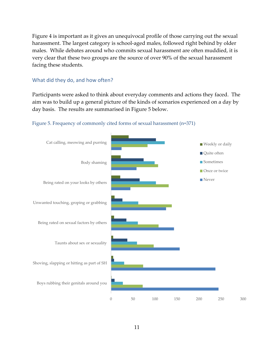Figure 4 is important as it gives an unequivocal profile of those carrying out the sexual harassment. The largest category is school-aged males, followed right behind by older males. While debates around who commits sexual harassment are often muddied, it is very clear that these two groups are the source of over 90% of the sexual harassment facing these students.

#### What did they do, and how often?

Participants were asked to think about everyday comments and actions they faced. The aim was to build up a general picture of the kinds of scenarios experienced on a day by day basis. The results are summarised in Figure 5 below.



#### Figure 5. Frequency of commonly cited forms of sexual harassment (n=371)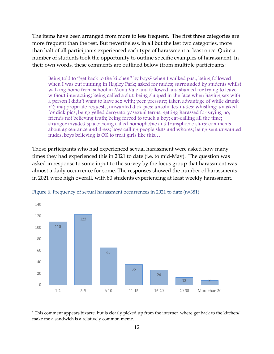The items have been arranged from more to less frequent. The first three categories are more frequent than the rest. But nevertheless, in all but the last two categories, more than half of all participants experienced each type of harassment at least once. Quite a number of students took the opportunity to outline specific examples of harassment. In their own words, these comments are outlined below (from multiple participants:

Being told to "get back to the kitchen" by boys<sup>2</sup> when I walked past, being followed when I was out running in Hagley Park; asked for nudes; surrounded by students whilst walking home from school in Mona Vale and followed and shamed for trying to leave without interacting; being called a slut; being slapped in the face when having sex with a person I didn't want to have sex with; peer pressure; taken advantage of while drunk x2; inappropriate requests; unwanted dick pics; unsolicited nudes; whistling; unasked for dick pics; being yelled derogatory/sexual terms; getting harassed for saying no, friends not believing truth; being forced to touch a boy; cat-calling all the time; stranger invaded space; being called homophobic and transphobic slurs; comments about appearance and dress; boys calling people sluts and whores; being sent unwanted nudes; boys believing is OK to treat girls like this…

Those participants who had experienced sexual harassment were asked how many times they had experienced this in 2021 to date (i.e. to mid-May). The question was asked in response to some input to the survey by the focus group that harassment was almost a daily occurrence for some. The responses showed the number of harassments in 2021 were high overall, with 80 students experiencing at least weekly harassment.



Figure 6. Frequency of sexual harassment occurrences in 2021 to date (n=381)

<sup>2</sup> This comment appears bizarre, but is clearly picked up from the internet, where get back to the kitchen/ make me a sandwich is a relatively common meme.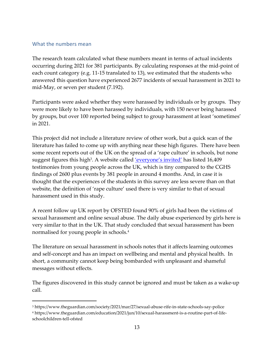#### What the numbers mean

The research team calculated what these numbers meant in terms of actual incidents occurring during 2021 for 381 participants. By calculating responses at the mid-point of each count category (e.g. 11-15 translated to 13), we estimated that the students who answered this question have experienced 2677 incidents of sexual harassment in 2021 to mid-May, or seven per student (7.192).

Participants were asked whether they were harassed by individuals or by groups. They were more likely to have been harassed by individuals, with 150 never being harassed by groups, but over 100 reported being subject to group harassment at least 'sometimes' in 2021.

This project did not include a literature review of other work, but a quick scan of the literature has failed to come up with anything near these high figures. There have been some recent reports out of the UK on the spread of a 'rape culture' in schools, but none suggest figures this high<sup>3</sup>. A website called <u>'everyone's invited'</u> has listed 16*,*409 testimonies from young people across the UK, which is tiny compared to the CGHS findings of 2600 plus events by 381 people in around 4 months. And, in case it is thought that the experiences of the students in this survey are less severe than on that website, the definition of 'rape culture' used there is very similar to that of sexual harassment used in this study.

A recent follow up UK report by OFSTED found 90% of girls had been the victims of sexual harassment and online sexual abuse. The daily abuse experienced by girls here is very similar to that in the UK. That study concluded that sexual harassment has been normalised for young people in schools.<sup>4</sup>

The literature on sexual harassment in schools notes that it affects learning outcomes and self-concept and has an impact on wellbeing and mental and physical health. In short, a community cannot keep being bombarded with unpleasant and shameful messages without effects.

The figures discovered in this study cannot be ignored and must be taken as a wake-up call.

<sup>3</sup> https://www.theguardian.com/society/2021/mar/27/sexual-abuse-rife-in-state-schools-say-police

<sup>4</sup> https://www.theguardian.com/education/2021/jun/10/sexual-harassment-is-a-routine-part-of-lifeschoolchildren-tell-ofsted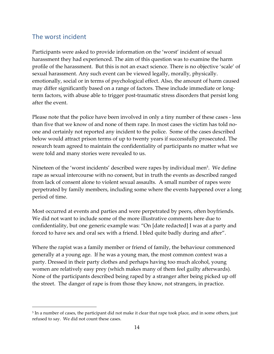### The worst incident

Participants were asked to provide information on the 'worst' incident of sexual harassment they had experienced. The aim of this question was to examine the harm profile of the harassment. But this is not an exact science. There is no objective 'scale' of sexual harassment. Any such event can be viewed legally, morally, physically. emotionally, social or in terms of psychological effect. Also, the amount of harm caused may differ significantly based on a range of factors. These include immediate or longterm factors, with abuse able to trigger post-traumatic stress disorders that persist long after the event.

Please note that the police have been involved in only a tiny number of these cases - less than five that we know of and none of them rape. In most cases the victim has told noone and certainly not reported any incident to the police. Some of the cases described below would attract prison terms of up to twenty years if successfully prosecuted. The research team agreed to maintain the confidentiality of participants no matter what we were told and many stories were revealed to us.

Nineteen of the 'worst incidents' described were rapes by individual men<sup>5</sup>. We define rape as sexual intercourse with no consent, but in truth the events as described ranged from lack of consent alone to violent sexual assaults. A small number of rapes were perpetrated by family members, including some where the events happened over a long period of time.

Most occurred at events and parties and were perpetrated by peers, often boyfriends. We did not want to include some of the more illustrative comments here due to confidentiality, but one generic example was: "On [date redacted] I was at a party and forced to have sex and oral sex with a friend. I bled quite badly during and after".

Where the rapist was a family member or friend of family, the behaviour commenced generally at a young age. If he was a young man, the most common context was a party. Dressed in their party clothes and perhaps having too much alcohol, young women are relatively easy prey (which makes many of them feel guilty afterwards). None of the participants described being raped by a stranger after being picked up off the street. The danger of rape is from those they know, not strangers, in practice.

<sup>&</sup>lt;sup>5</sup> In a number of cases, the participant did not make it clear that rape took place, and in some others, just refused to say. We did not count these cases.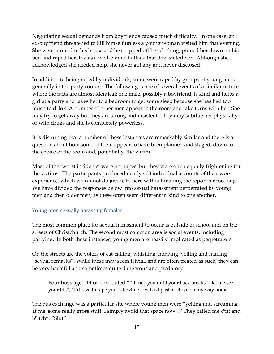Negotiating sexual demands from boyfriends caused much difficulty. In one case, an ex-boyfriend threatened to kill himself unless a young woman visited him that evening. She went around to his house and he stripped off her clothing, pinned her down on his bed and raped her. It was a well-planned attack that devastated her. Although she acknowledged she needed help, she never got any and never disclosed.

In addition to being raped by individuals, some were raped by groups of young men, generally in the party context. The following is one of several events of a similar nature where the facts are almost identical: one male, possibly a boyfriend, is kind and helps a girl at a party and takes her to a bedroom to get some sleep because she has had too much to drink. A number of other men appear in the room and take turns with her. She may try to get away but they are strong and insistent. They may subdue her physically or with drugs and she is completely powerless.

It is disturbing that a number of these instances are remarkably similar and there is a question about how some of them appear to have been planned and staged, down to the choice of the room and, potentially, the victim.

Most of the 'worst incidents' were not rapes, but they were often equally frightening for the victims. The participants produced nearly 400 individual accounts of their worst experience, which we cannot do justice to here without making the report far too long. We have divided the responses below into sexual harassment perpetrated by young men and then older men, as these often seem different in kind to one another.

#### Young men sexually harassing females

The most common place for sexual harassment to occur is outside of school and on the streets of Christchurch. The second most common area is social events, including partying. In both these instances, young men are heavily implicated as perpetrators.

On the streets are the voices of cat-calling, whistling, honking, yelling and making "sexual remarks". While these may seem trivial, and are often treated as such, they can be very harmful and sometimes quite dangerous and predatory:

Four boys aged 14 or 15 shouted "I'll fuck you until your back breaks" "let me see your tits", "I'd love to rape you" all while I walked past a school on my way home.

The bus exchange was a particular site where young men were "yelling and screaming at me, some really gross stuff. I simply avoid that space now". "They called me c\*nt and b\*itch". "Slut".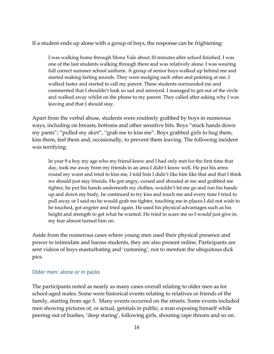If a student ends up alone with a group of boys, the response can be frightening:

I was walking home through Mona Vale about 10 minutes after school finished. I was one of the last students walking through there and was relatively alone. I was wearing full correct summer school uniform. A group of senior boys walked up behind me and started making farting sounds. They were nudging each other and pointing at me. I walked faster and started to call my parent. These students surrounded me and commented that I shouldn't look so sad and annoyed. I managed to get out of the circle and walked away whilst on the phone to my parent. They called after asking why I was leaving and that I should stay.

Apart from the verbal abuse, students were routinely grabbed by boys in numerous ways, including on breasts, bottoms and other sensitive bits. Boys "stuck hands down my pants"; "pulled my skirt", "grab me to kiss me". Boys grabbed girls to hug them, kiss them, feel them and, occasionally, to prevent them leaving. The following incident was terrifying:

In year 9 a boy my age who my friend knew and I had only met for the first time that day, took me away from my friends in an area I didn't know well. He put his arms round my waist and tried to kiss me, I told him I didn't like him like that and that I think we should just stay friends. He got angry, cursed and shouted at me and grabbed me tighter, he put his hands underneath my clothes, wouldn't let me go and run his hands up and down my body, he continued to try kiss and touch me and every time I tried to pull away or I said no he would grab me tighter, touching me in places I did not wish to be touched, got angrier and tried again. He used his physical advantages such as his height and strength to get what he wanted. He tried to scare me so I would just give in, my fear almost turned him on.

Aside from the numerous cases where young men used their physical presence and power to intimidate and harass students, they are also present online. Participants are sent videos of boys masturbating and 'cumming', not to mention the ubiquitous dick pics.

#### Older men: alone or in packs

The participants noted as nearly as many cases overall relating to older men as for school-aged males. Some were historical events relating to relatives or friends of the family, starting from age 5. Many events occurred on the streets. Some events included men showing pictures of, or actual, genitals in public, a man exposing himself while peering out of bushes, 'deep staring', following girls, shouting rape threats and so on.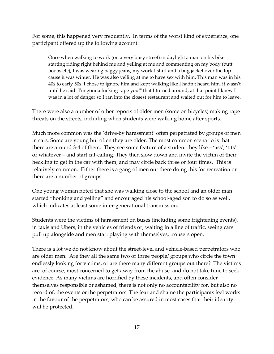For some, this happened very frequently. In terms of the worst kind of experience, one participant offered up the following account:

Once when walking to work (on a very busy street) in daylight a man on his bike starting riding right behind me and yelling at me and commenting on my body (butt boobs etc), I was wearing baggy jeans, my work t-shirt and a bug jacket over the top cause it was winter. He was also yelling at me to have sex with him. This man was in his 40s to early 50s. I chose to ignore him and kept walking like I hadn't heard him, it wasn't until he said "I'm gonna fucking rape you!" that I turned around, at that point I knew I was in a lot of danger so I ran into the closest restaurant and waited out for him to leave.

There were also a number of other reports of older men (some on bicycles) making rape threats on the streets, including when students were walking home after sports.

Much more common was the 'drive-by harassment' often perpetrated by groups of men in cars. Some are young but often they are older. The most common scenario is that there are around 3-4 of them. They see some feature of a student they like – 'ass', 'tits' or whatever – and start cat-calling. They then slow down and invite the victim of their heckling to get in the car with them, and may circle back three or four times. This is relatively common. Either there is a gang of men out there doing this for recreation or there are a number of groups.

One young woman noted that she was walking close to the school and an older man started "honking and yelling" and encouraged his school-aged son to do so as well, which indicates at least some inter-generational transmission.

Students were the victims of harassment on buses (including some frightening events), in taxis and Ubers, in the vehicles of friends or, waiting in a line of traffic, seeing cars pull up alongside and men start playing with themselves, trousers open.

There is a lot we do not know about the street-level and vehicle-based perpetrators who are older men. Are they all the same two or three people/ groups who circle the town endlessly looking for victims, or are there many different groups out there? The victims are, of course, most concerned to get away from the abuse, and do not take time to seek evidence. As many victims are horrified by these incidents, and often consider themselves responsible or ashamed, there is not only no accountability for, but also no record of, the events or the perpetrators. The fear and shame the participants feel works in the favour of the perpetrators, who can be assured in most cases that their identity will be protected.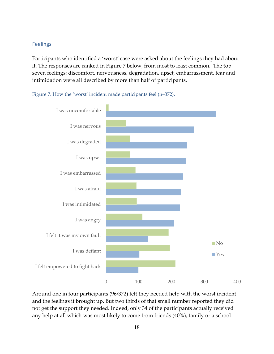#### Feelings

Participants who identified a 'worst' case were asked about the feelings they had about it. The responses are ranked in Figure 7 below, from most to least common. The top seven feelings: discomfort, nervousness, degradation, upset, embarrassment, fear and intimidation were all described by more than half of participants.



Figure 7. How the 'worst' incident made participants feel (n=372).

Around one in four participants (96/372) felt they needed help with the worst incident and the feelings it brought up. But two thirds of that small number reported they did not get the support they needed. Indeed, only 34 of the participants actually received any help at all which was most likely to come from friends (40%), family or a school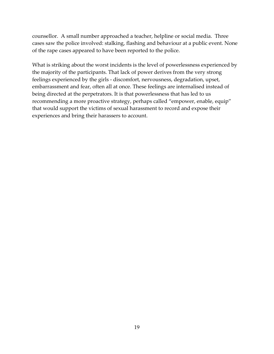counsellor. A small number approached a teacher, helpline or social media. Three cases saw the police involved: stalking, flashing and behaviour at a public event. None of the rape cases appeared to have been reported to the police.

What is striking about the worst incidents is the level of powerlessness experienced by the majority of the participants. That lack of power derives from the very strong feelings experienced by the girls - discomfort, nervousness, degradation, upset, embarrassment and fear, often all at once. These feelings are internalised instead of being directed at the perpetrators. It is that powerlessness that has led to us recommending a more proactive strategy, perhaps called "empower, enable, equip" that would support the victims of sexual harassment to record and expose their experiences and bring their harassers to account.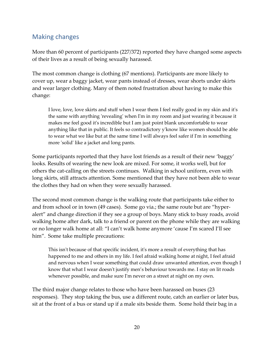## Making changes

More than 60 percent of participants (227/372) reported they have changed some aspects of their lives as a result of being sexually harassed.

The most common change is clothing (67 mentions). Participants are more likely to cover up, wear a baggy jacket, wear pants instead of dresses, wear shorts under skirts and wear larger clothing. Many of them noted frustration about having to make this change:

I love, love, love skirts and stuff when I wear them I feel really good in my skin and it's the same with anything 'revealing' when I'm in my room and just wearing it because it makes me feel good it's incredible but I am just point blank uncomfortable to wear anything like that in public. It feels so contradictory y'know like women should be able to wear what we like but at the same time I will always feel safer if I'm in something more 'solid' like a jacket and long pants.

Some participants reported that they have lost friends as a result of their new 'baggy' looks. Results of wearing the new look are mixed. For some, it works well, but for others the cat-calling on the streets continues. Walking in school uniform, even with long skirts, still attracts attention. Some mentioned that they have not been able to wear the clothes they had on when they were sexually harassed.

The second most common change is the walking route that participants take either to and from school or in town (49 cases). Some go via.; the same route but are "hyperalert" and change direction if they see a group of boys. Many stick to busy roads, avoid walking home after dark, talk to a friend or parent on the phone while they are walking or no longer walk home at all: "I can't walk home anymore 'cause I'm scared I'll see him". Some take multiple precautions:

This isn't because of that specific incident, it's more a result of everything that has happened to me and others in my life. I feel afraid walking home at night, I feel afraid and nervous when I wear something that could draw unwanted attention, even though I know that what I wear doesn't justify men's behaviour towards me. I stay on lit roads whenever possible, and make sure I'm never on a street at night on my own.

The third major change relates to those who have been harassed on buses (23 responses). They stop taking the bus, use a different route, catch an earlier or later bus, sit at the front of a bus or stand up if a male sits beside them. Some hold their bag in a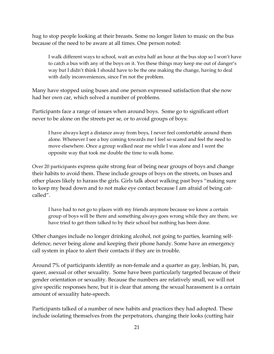hug to stop people looking at their breasts. Some no longer listen to music on the bus because of the need to be aware at all times. One person noted:

I walk different ways to school, wait an extra half an hour at the bus stop so I won't have to catch a bus with any of the boys on it. Yes these things may keep me out of danger's way but I didn't think I should have to be the one making the change, having to deal with daily inconveniences, since I'm not the problem.

Many have stopped using buses and one person expressed satisfaction that she now had her own car, which solved a number of problems.

Participants face a range of issues when around boys. Some go to significant effort never to be alone on the streets per se, or to avoid groups of boys:

I have always kept a distance away from boys, I never feel comfortable around them alone. Whenever I see a boy coming towards me I feel so scared and feel the need to move elsewhere. Once a group walked near me while I was alone and I went the opposite way that took me double the time to walk home.

Over 20 participants express quite strong fear of being near groups of boys and change their habits to avoid them. These include groups of boys on the streets, on buses and other places likely to harass the girls. Girls talk about walking past boys "making sure to keep my head down and to not make eye contact because I am afraid of being catcalled".

I have had to not go to places with my friends anymore because we know a certain group of boys will be there and something always goes wrong while they are there, we have tried to get them talked to by their school but nothing has been done.

Other changes include no longer drinking alcohol, not going to parties, learning selfdefence, never being alone and keeping their phone handy. Some have an emergency call system in place to alert their contacts if they are in trouble.

Around 7% of participants identify as non-female and a quarter as gay, lesbian, bi, pan, queer, asexual or other sexuality. Some have been particularly targeted because of their gender orientation or sexuality. Because the numbers are relatively small, we will not give specific responses here, but it is clear that among the sexual harassment is a certain amount of sexuality hate-speech.

Participants talked of a number of new habits and practices they had adopted. These include isolating themselves from the perpetrators, changing their looks (cutting hair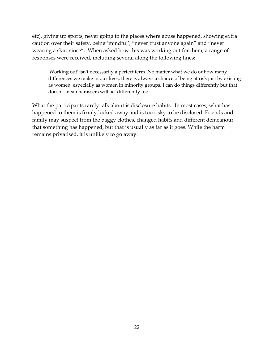etc), giving up sports, never going to the places where abuse happened, showing extra caution over their safety, being 'mindful', "never trust anyone again" and "never wearing a skirt since". When asked how this was working out for them, a range of responses were received, including several along the following lines:

'Working out' isn't necessarily a perfect term. No matter what we do or how many differences we make in our lives, there is always a chance of being at risk just by existing as women, especially as women in minority groups. I can do things differently but that doesn't mean harassers will act differently too.

What the participants rarely talk about is disclosure habits. In most cases, what has happened to them is firmly locked away and is too risky to be disclosed. Friends and family may suspect from the baggy clothes, changed habits and different demeanour that something has happened, but that is usually as far as it goes. While the harm remains privatised, it is unlikely to go away.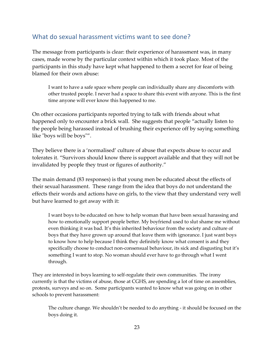### What do sexual harassment victims want to see done?

The message from participants is clear: their experience of harassment was, in many cases, made worse by the particular context within which it took place. Most of the participants in this study have kept what happened to them a secret for fear of being blamed for their own abuse:

I want to have a safe space where people can individually share any discomforts with other trusted people. I never had a space to share this event with anyone. This is the first time anyone will ever know this happened to me.

On other occasions participants reported trying to talk with friends about what happened only to encounter a brick wall. She suggests that people "actually listen to the people being harassed instead of brushing their experience off by saying something like "boys will be boys"".

They believe there is a 'normalised' culture of abuse that expects abuse to occur and tolerates it. "Survivors should know there is support available and that they will not be invalidated by people they trust or figures of authority."

The main demand (83 responses) is that young men be educated about the effects of their sexual harassment. These range from the idea that boys do not understand the effects their words and actions have on girls, to the view that they understand very well but have learned to get away with it:

I want boys to be educated on how to help woman that have been sexual harassing and how to emotionally support people better. My boyfriend used to slut shame me without even thinking it was bad. It's this inherited behaviour from the society and culture of boys that they have grown up around that leave them with ignorance. I just want boys to know how to help because I think they definitely know what consent is and they specifically choose to conduct non-consensual behaviour, its sick and disgusting but it's something I want to stop. No woman should ever have to go through what I went through.

They are interested in boys learning to self-regulate their own communities. The irony currently is that the victims of abuse, those at CGHS, are spending a lot of time on assemblies, protests, surveys and so on. Some participants wanted to know what was going on in other schools to prevent harassment:

The culture change. We shouldn't be needed to do anything - it should be focused on the boys doing it.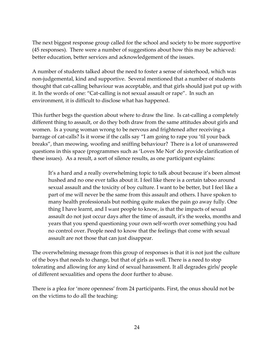The next biggest response group called for the school and society to be more supportive (45 responses). There were a number of suggestions about how this may be achieved: better education, better services and acknowledgement of the issues.

A number of students talked about the need to foster a sense of sisterhood, which was non-judgemental, kind and supportive. Several mentioned that a number of students thought that cat-calling behaviour was acceptable, and that girls should just put up with it. In the words of one: "Cat-calling is not sexual assault or rape". In such an environment, it is difficult to disclose what has happened.

This further begs the question about where to draw the line. Is cat-calling a completely different thing to assault, or do they both draw from the same attitudes about girls and women. Is a young woman wrong to be nervous and frightened after receiving a barrage of cat-calls? Is it worse if the calls say "I am going to rape you 'til your back breaks", than meowing, woofing and sniffing behaviour? There is a lot of unanswered questions in this space (programmes such as 'Loves Me Not' do provide clarification of these issues). As a result, a sort of silence results, as one participant explains:

It's a hard and a really overwhelming topic to talk about because it's been almost hushed and no one ever talks about it. I feel like there is a certain taboo around sexual assault and the toxicity of boy culture. I want to be better, but I feel like a part of me will never be the same from this assault and others. I have spoken to many health professionals but nothing quite makes the pain go away fully. One thing I have learnt, and I want people to know, is that the impacts of sexual assault do not just occur days after the time of assault, it's the weeks, months and years that you spend questioning your own self-worth over something you had no control over. People need to know that the feelings that come with sexual assault are not those that can just disappear.

The overwhelming message from this group of responses is that it is not just the culture of the boys that needs to change, but that of girls as well. There is a need to stop tolerating and allowing for any kind of sexual harassment. It all degrades girls/ people of different sexualities and opens the door further to abuse.

There is a plea for 'more openness' from 24 participants. First, the onus should not be on the victims to do all the teaching: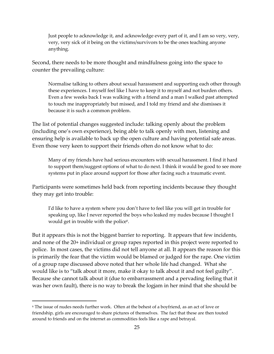Just people to acknowledge it, and acknowledge every part of it, and I am so very, very, very, very sick of it being on the victims/survivors to be the ones teaching anyone anything.

Second, there needs to be more thought and mindfulness going into the space to counter the prevailing culture:

Normalise talking to others about sexual harassment and supporting each other through these experiences. I myself feel like I have to keep it to myself and not burden others. Even a few weeks back I was walking with a friend and a man I walked past attempted to touch me inappropriately but missed, and I told my friend and she dismisses it because it is such a common problem.

The list of potential changes suggested include: talking openly about the problem (including one's own experience), being able to talk openly with men, listening and ensuring help is available to back up the open culture and having potential safe areas. Even those very keen to support their friends often do not know what to do:

Many of my friends have had serious encounters with sexual harassment. I find it hard to support them/suggest options of what to do next. I think it would be good to see more systems put in place around support for those after facing such a traumatic event.

Participants were sometimes held back from reporting incidents because they thought they may get into trouble:

I'd like to have a system where you don't have to feel like you will get in trouble for speaking up, like I never reported the boys who leaked my nudes because I thought I would get in trouble with the police<sup>6</sup>.

But it appears this is not the biggest barrier to reporting. It appears that few incidents, and none of the 20+ individual or group rapes reported in this project were reported to police. In most cases, the victims did not tell anyone at all. It appears the reason for this is primarily the fear that the victim would be blamed or judged for the rape. One victim of a group rape discussed above noted that her whole life had changed. What she would like is to "talk about it more, make it okay to talk about it and not feel guilty". Because she cannot talk about it (due to embarrassment and a pervading feeling that it was her own fault), there is no way to break the logjam in her mind that she should be

<sup>6</sup> The issue of nudes needs further work. Often at the behest of a boyfriend, as an act of love or friendship, girls are encouraged to share pictures of themselves. The fact that these are then touted around to friends and on the internet as commodities feels like a rape and betrayal.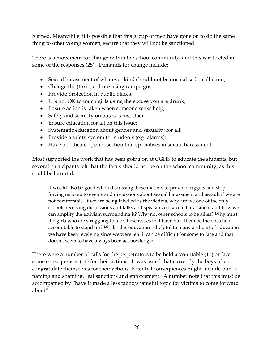blamed. Meanwhile, it is possible that this group of men have gone on to do the same thing to other young women, secure that they will not be sanctioned.

There is a movement for change within the school community, and this is reflected in some of the responses (25). Demands for change include:

- Sexual harassment of whatever kind should not be normalised call it out;
- Change the (toxic) culture using campaigns;
- Provide protection in public places;
- It is not OK to touch girls using the excuse you are drunk;
- Ensure action is taken when someone seeks help;
- Safety and security on buses, taxis, Uber.
- Ensure education for all on this issue;
- Systematic education about gender and sexuality for all;
- Provide a safety system for students (e.g. alarms);
- Have a dedicated police section that specialises in sexual harassment.

Most supported the work that has been going on at CGHS to educate the students, but several participants felt that the focus should not be on the school community, as this could be harmful:

It would also be good when discussing these matters to provide triggers and stop forcing us to go to events and discussions about sexual harassment and assault if we are not comfortable. If we are being labelled as the victims, why are we one of the only schools receiving discussions and talks and speakers on sexual harassment and how we can amplify the activism surrounding it? Why not other schools to be allies? Why must the girls who are struggling to face these issues that have hurt them be the ones held accountable to stand up? Whilst this education is helpful to many and part of education we have been receiving since we were ten, it can be difficult for some to face and that doesn't seem to have always been acknowledged.

There were a number of calls for the perpetrators to be held accountable (11) or face some consequences (11) for their actions. It was noted that currently the boys often congratulate themselves for their actions. Potential consequences might include public naming and shaming, real sanctions and enforcement. A number note that this must be accompanied by "have it made a less taboo/shameful topic for victims to come forward about".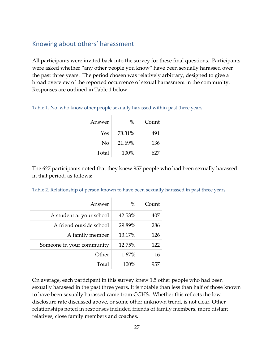### Knowing about others' harassment

All participants were invited back into the survey for these final questions. Participants were asked whether "any other people you know" have been sexually harassed over the past three years. The period chosen was relatively arbitrary, designed to give a broad overview of the reported occurrence of sexual harassment in the community. Responses are outlined in Table 1 below.

| Answer         | $\%$   | Count |
|----------------|--------|-------|
| Yes            | 78.31% | 491   |
| N <sub>o</sub> | 21.69% | 136   |
| Total          | 100%   | 627   |

The 627 participants noted that they knew 957 people who had been sexually harassed in that period, as follows:

| Answer                    | $\%$   | Count |
|---------------------------|--------|-------|
| A student at your school  | 42.53% | 407   |
| A friend outside school   | 29.89% | 286   |
| A family member           | 13.17% | 126   |
| Someone in your community | 12.75% | 122   |
| Other                     | 1.67%  | 16    |
| Total                     | 100%   | 957   |

Table 2. Relationship of person known to have been sexually harassed in past three years

On average, each participant in this survey knew 1.5 other people who had been sexually harassed in the past three years. It is notable than less than half of those known to have been sexually harassed came from CGHS. Whether this reflects the low disclosure rate discussed above, or some other unknown trend, is not clear. Other relationships noted in responses included friends of family members, more distant relatives, close family members and coaches.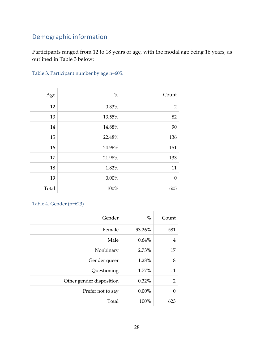# Demographic information

Participants ranged from 12 to 18 years of age, with the modal age being 16 years, as outlined in Table 3 below:

| Age   | $\%$     | Count          |
|-------|----------|----------------|
| 12    | 0.33%    | $\overline{2}$ |
| 13    | 13.55%   | 82             |
| 14    | 14.88%   | 90             |
| 15    | 22.48%   | 136            |
| 16    | 24.96%   | 151            |
| 17    | 21.98%   | 133            |
| 18    | 1.82%    | 11             |
| 19    | $0.00\%$ | $\mathbf{0}$   |
| Total | 100%     | 605            |

Table 4. Gender (n=623)

| Gender                   | $\%$     | Count    |
|--------------------------|----------|----------|
| Female                   | 93.26%   | 581      |
| Male                     | $0.64\%$ | 4        |
| Nonbinary                | 2.73%    | 17       |
| Gender queer             | 1.28%    | 8        |
| Questioning              | 1.77%    | 11       |
| Other gender disposition | $0.32\%$ | 2        |
| Prefer not to say        | $0.00\%$ | $\theta$ |
| Total                    | 100%     | 623      |
|                          |          |          |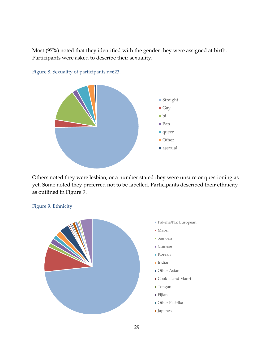Most (97%) noted that they identified with the gender they were assigned at birth. Participants were asked to describe their sexuality.



Figure 8. Sexuality of participants n=623.

Others noted they were lesbian, or a number stated they were unsure or questioning as yet. Some noted they preferred not to be labelled. Participants described their ethnicity as outlined in Figure 9.



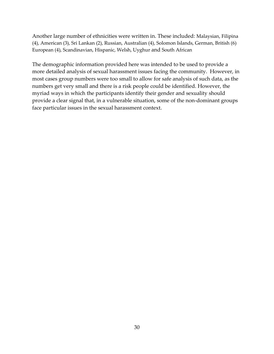Another large number of ethnicities were written in. These included: Malaysian, Filipina (4), American (3), Sri Lankan (2), Russian, Australian (4), Solomon Islands, German, British (6) European (4), Scandinavian, Hispanic, Welsh, Uyghur and South African

The demographic information provided here was intended to be used to provide a more detailed analysis of sexual harassment issues facing the community. However, in most cases group numbers were too small to allow for safe analysis of such data, as the numbers get very small and there is a risk people could be identified. However, the myriad ways in which the participants identify their gender and sexuality should provide a clear signal that, in a vulnerable situation, some of the non-dominant groups face particular issues in the sexual harassment context.